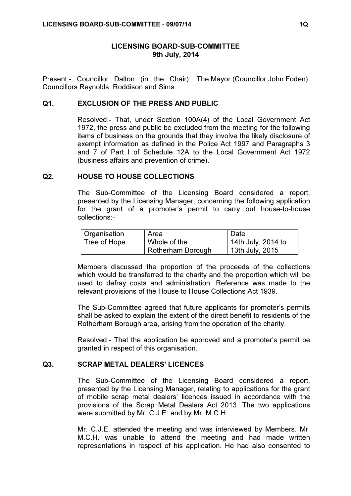### LICENSING BOARD-SUB-COMMITTEE 9th July, 2014

Present:- Councillor Dalton (in the Chair); The Mayor (Councillor John Foden), Councillors Reynolds, Roddison and Sims.

#### Q1. EXCLUSION OF THE PRESS AND PUBLIC

 Resolved:- That, under Section 100A(4) of the Local Government Act 1972, the press and public be excluded from the meeting for the following items of business on the grounds that they involve the likely disclosure of exempt information as defined in the Police Act 1997 and Paragraphs 3 and 7 of Part I of Schedule 12A to the Local Government Act 1972 (business affairs and prevention of crime).

#### Q2. HOUSE TO HOUSE COLLECTIONS

 The Sub-Committee of the Licensing Board considered a report, presented by the Licensing Manager, concerning the following application for the grant of a promoter's permit to carry out house-to-house collections:-

| Organisation | Area                     | Date               |
|--------------|--------------------------|--------------------|
| Tree of Hope | Whole of the             | 14th July, 2014 to |
|              | <b>Rotherham Borough</b> | 13th July, 2015    |

Members discussed the proportion of the proceeds of the collections which would be transferred to the charity and the proportion which will be used to defray costs and administration. Reference was made to the relevant provisions of the House to House Collections Act 1939.

The Sub-Committee agreed that future applicants for promoter's permits shall be asked to explain the extent of the direct benefit to residents of the Rotherham Borough area, arising from the operation of the charity.

Resolved:- That the application be approved and a promoter's permit be granted in respect of this organisation.

# Q3. SCRAP METAL DEALERS' LICENCES

 The Sub-Committee of the Licensing Board considered a report, presented by the Licensing Manager, relating to applications for the grant of mobile scrap metal dealers' licences issued in accordance with the provisions of the Scrap Metal Dealers Act 2013. The two applications were submitted by Mr. C.J.E. and by Mr. M.C.H

Mr. C.J.E. attended the meeting and was interviewed by Members. Mr. M.C.H. was unable to attend the meeting and had made written representations in respect of his application. He had also consented to